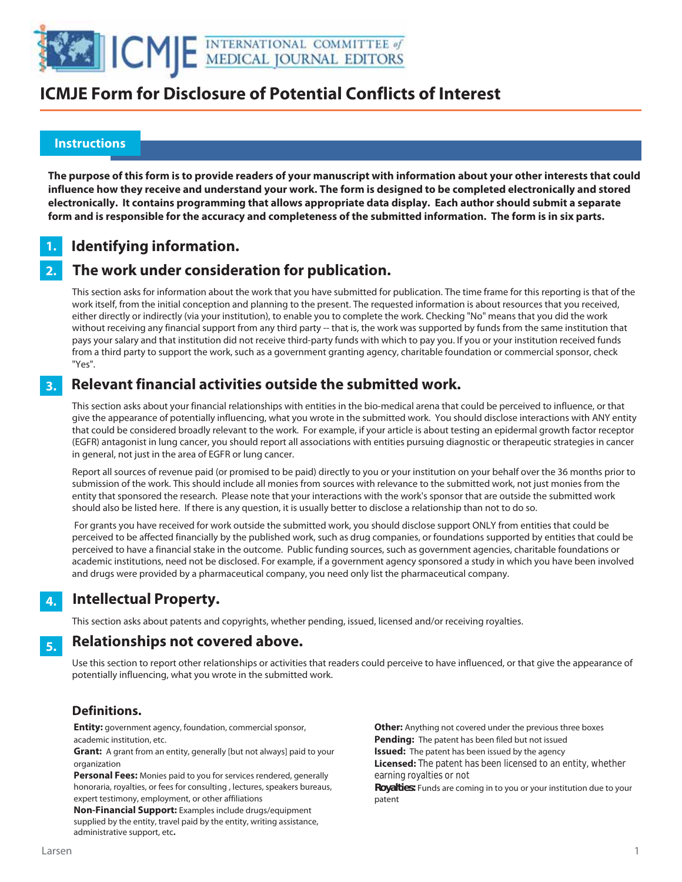

## **ICMJE Form for Disclosure of Potential Conflicts of Interest**

### **Instructions**

l

**The purpose of this form is to provide readers of your manuscript with information about your other interests that could influence how they receive and understand your work. The form is designed to be completed electronically and stored electronically. It contains programming that allows appropriate data display. Each author should submit a separate form and is responsible for the accuracy and completeness of the submitted information. The form is in six parts.** 

### **Identifying information. 1.**

### **The work under consideration for publication. 2.**

This section asks for information about the work that you have submitted for publication. The time frame for this reporting is that of the work itself, from the initial conception and planning to the present. The requested information is about resources that you received, either directly or indirectly (via your institution), to enable you to complete the work. Checking "No" means that you did the work without receiving any financial support from any third party -- that is, the work was supported by funds from the same institution that pays your salary and that institution did not receive third-party funds with which to pay you. If you or your institution received funds from a third party to support the work, such as a government granting agency, charitable foundation or commercial sponsor, check "Yes".

### **Relevant financial activities outside the submitted work. 3.**

This section asks about your financial relationships with entities in the bio-medical arena that could be perceived to influence, or that give the appearance of potentially influencing, what you wrote in the submitted work. You should disclose interactions with ANY entity that could be considered broadly relevant to the work. For example, if your article is about testing an epidermal growth factor receptor (EGFR) antagonist in lung cancer, you should report all associations with entities pursuing diagnostic or therapeutic strategies in cancer in general, not just in the area of EGFR or lung cancer.

Report all sources of revenue paid (or promised to be paid) directly to you or your institution on your behalf over the 36 months prior to submission of the work. This should include all monies from sources with relevance to the submitted work, not just monies from the entity that sponsored the research. Please note that your interactions with the work's sponsor that are outside the submitted work should also be listed here. If there is any question, it is usually better to disclose a relationship than not to do so.

 For grants you have received for work outside the submitted work, you should disclose support ONLY from entities that could be perceived to be affected financially by the published work, such as drug companies, or foundations supported by entities that could be perceived to have a financial stake in the outcome. Public funding sources, such as government agencies, charitable foundations or academic institutions, need not be disclosed. For example, if a government agency sponsored a study in which you have been involved and drugs were provided by a pharmaceutical company, you need only list the pharmaceutical company.

### **Intellectual Property. 4.**

This section asks about patents and copyrights, whether pending, issued, licensed and/or receiving royalties.

### **Relationships not covered above. 5.**

Use this section to report other relationships or activities that readers could perceive to have influenced, or that give the appearance of potentially influencing, what you wrote in the submitted work.

### **Definitions.**

**Entity:** government agency, foundation, commercial sponsor, academic institution, etc.

**Grant:** A grant from an entity, generally [but not always] paid to your organization

**Personal Fees:** Monies paid to you for services rendered, generally honoraria, royalties, or fees for consulting , lectures, speakers bureaus, expert testimony, employment, or other affiliations

**Non-Financial Support:** Examples include drugs/equipment supplied by the entity, travel paid by the entity, writing assistance, administrative support, etc**.**

**Other:** Anything not covered under the previous three boxes **Pending:** The patent has been filed but not issued **Issued:** The patent has been issued by the agency **Licensed:** The patent has been licensed to an entity, whether earning royalties or not **Royalties:** Funds are coming in to you or your institution due to your

patent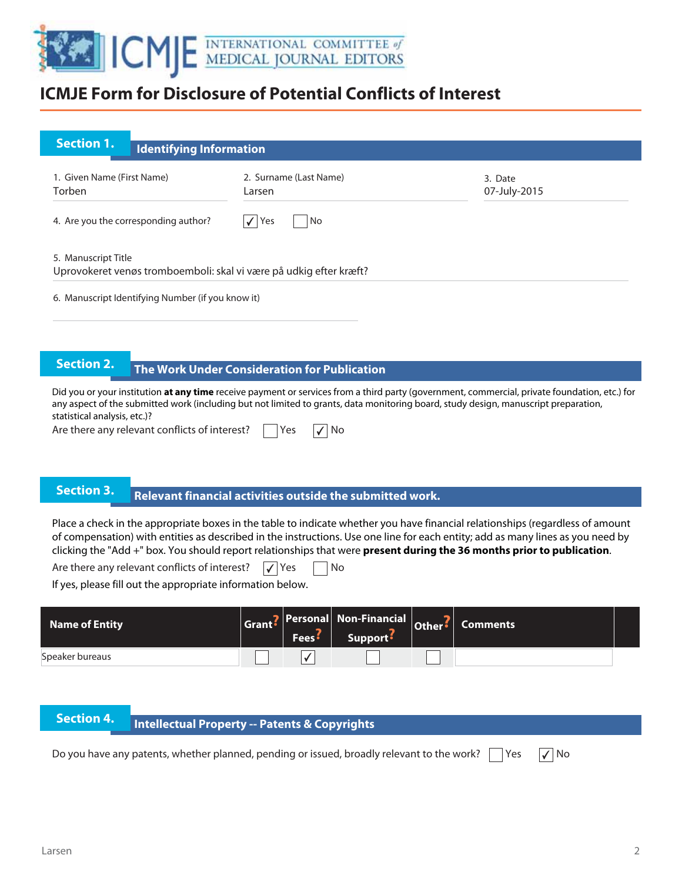

## **ICMJE Form for Disclosure of Potential Conflicts of Interest**

| <b>Section 1.</b><br><b>Identifying Information</b>                                       |                                  |                         |
|-------------------------------------------------------------------------------------------|----------------------------------|-------------------------|
| 1. Given Name (First Name)<br>Torben                                                      | 2. Surname (Last Name)<br>Larsen | 3. Date<br>07-July-2015 |
| 4. Are you the corresponding author?                                                      | $\sqrt{Y}$ es<br>No              |                         |
| 5. Manuscript Title<br>Uprovokeret venøs tromboemboli: skal vi være på udkig efter kræft? |                                  |                         |

6. Manuscript Identifying Number (if you know it)

# **The Work Under Consideration for Publication**

Did you or your institution **at any time** receive payment or services from a third party (government, commercial, private foundation, etc.) for any aspect of the submitted work (including but not limited to grants, data monitoring board, study design, manuscript preparation, statistical analysis, etc.)?

Are there any relevant conflicts of interest?  $\Box$  Yes  $\Box$  No

# **Relevant financial activities outside the submitted work. Section 3. Relevant financial activities outset**

Place a check in the appropriate boxes in the table to indicate whether you have financial relationships (regardless of amount of compensation) with entities as described in the instructions. Use one line for each entity; add as many lines as you need by clicking the "Add +" box. You should report relationships that were **present during the 36 months prior to publication**.

Are there any relevant conflicts of interest?  $\sqrt{\ }$  Yes  $\Box$  No

If yes, please fill out the appropriate information below.

| <b>Name of Entity</b> | <b>Fees</b> | Grant? Personal Non-Financial Other? Comments<br>Support <sup>5</sup> |  |  |
|-----------------------|-------------|-----------------------------------------------------------------------|--|--|
| Speaker bureaus       |             |                                                                       |  |  |

# **Intellectual Property -- Patents & Copyrights**

Do you have any patents, whether planned, pending or issued, broadly relevant to the work?  $\Box$  Yes  $\Box$  No